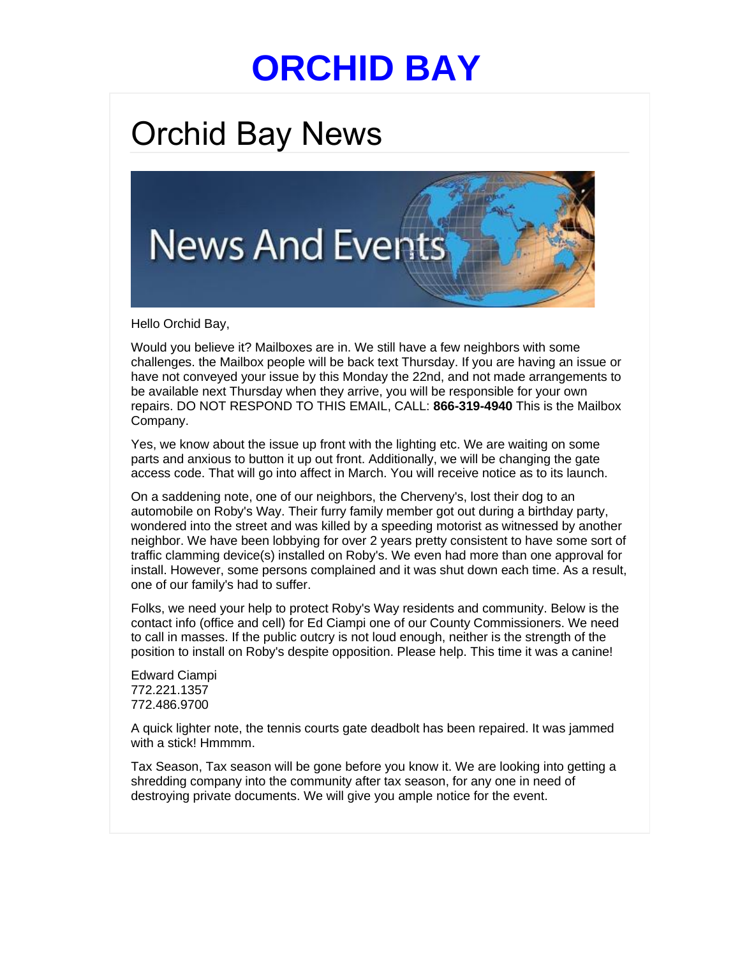## **[ORCHID BAY](https://links.hoa-express.com/ls/click?upn=nU0LZA-2BBmY4u3SNR1Nb3O5ss-2Fz-2BFFx18qVbvixQDMLjh8XX3dHyoLIxHHaV-2BwpGSdll7_m-2BY5-2FXH5JKy8MWNSbcRBc6vC4ojgztAYkiFkRgJGcG9KqWncdiEWpJPdfp82-2FX0ANIVEI5Fuen3NmUbAJ3Kq9ji0ZTUmhZ00dSg-2F-2F2b8U2abVFqt5nDc-2BXZAfrlLh7ObHG2nbE3X3how4bXWIcGFcOq-2BkVD96KLnqveKsmg7LBorNCC7hoqvqroTHnwRWSOVRvSEwNzDjt9yLDWrsgfAfjNZho0f7cPlgm6Hzy0OT1wtpXdIcUhHqhK-2FOdBtY81WLHh-2BYuquZ2fqoYlEYUvn6bhmain4ynEF3tJGX58QzpVydTFHny7vhs-2F78Lwl0DCd439jv-2FBuPJSzsxnO9R20E2CgTdOkqB3fPZdB011-2BXyAmhxVSfaijnqVEh0If7Jte-2BsuXx9RN0RAZkbgGu8rpsaJJbV2Tz7Sl8F9DoeZ5r6yHVI-2FOUI6oEbEjsR-2F1fhZ5eb-2FU52277L-2BurxTwFB10fR0-2BkTCTACH3a8XCMmPgn0sD3pulUa2LFbkVPmGa9jHHeGkTlmYd4Yj1wvTnbaW-2FjUHbnMe-2BaV3U3eU4zLFI0V4-3D)**

## Orchid Bay News



Hello Orchid Bay,

Would you believe it? Mailboxes are in. We still have a few neighbors with some challenges. the Mailbox people will be back text Thursday. If you are having an issue or have not conveyed your issue by this Monday the 22nd, and not made arrangements to be available next Thursday when they arrive, you will be responsible for your own repairs. DO NOT RESPOND TO THIS EMAIL, CALL: **866-319-4940** This is the Mailbox Company.

Yes, we know about the issue up front with the lighting etc. We are waiting on some parts and anxious to button it up out front. Additionally, we will be changing the gate access code. That will go into affect in March. You will receive notice as to its launch.

On a saddening note, one of our neighbors, the Cherveny's, lost their dog to an automobile on Roby's Way. Their furry family member got out during a birthday party, wondered into the street and was killed by a speeding motorist as witnessed by another neighbor. We have been lobbying for over 2 years pretty consistent to have some sort of traffic clamming device(s) installed on Roby's. We even had more than one approval for install. However, some persons complained and it was shut down each time. As a result, one of our family's had to suffer.

Folks, we need your help to protect Roby's Way residents and community. Below is the contact info (office and cell) for Ed Ciampi one of our County Commissioners. We need to call in masses. If the public outcry is not loud enough, neither is the strength of the position to install on Roby's despite opposition. Please help. This time it was a canine!

Edward Ciampi 772.221.1357 772.486.9700

A quick lighter note, the tennis courts gate deadbolt has been repaired. It was jammed with a stick! Hmmmm.

Tax Season, Tax season will be gone before you know it. We are looking into getting a shredding company into the community after tax season, for any one in need of destroying private documents. We will give you ample notice for the event.